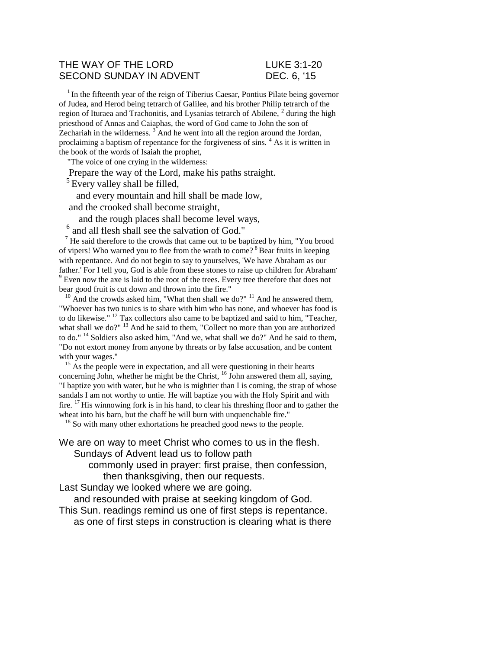### THE WAY OF THE LORD **LUKE 3:1-20** SECOND SUNDAY IN ADVENT DEC. 6, '15

 $<sup>1</sup>$  In the fifteenth year of the reign of Tiberius Caesar, Pontius Pilate being governor</sup> of Judea, and Herod being tetrarch of Galilee, and his brother Philip tetrarch of the region of Ituraea and Trachonitis, and Lysanias tetrarch of Abilene,  $2$  during the high priesthood of Annas and Caiaphas, the word of God came to John the son of Zechariah in the wilderness.  $3$  And he went into all the region around the Jordan, proclaiming a baptism of repentance for the forgiveness of sins. <sup>4</sup> As it is written in the book of the words of Isaiah the prophet,

"The voice of one crying in the wilderness:

Prepare the way of the Lord, make his paths straight.

 $<sup>5</sup>$  Every valley shall be filled,</sup>

and every mountain and hill shall be made low,

and the crooked shall become straight,

and the rough places shall become level ways,

<sup>6</sup> and all flesh shall see the salvation of God."

 $<sup>7</sup>$  He said therefore to the crowds that came out to be baptized by him, "You brood</sup> of vipers! Who warned you to flee from the wrath to come? <sup>8</sup>Bear fruits in keeping with repentance. And do not begin to say to yourselves, 'We have Abraham as our father.' For I tell you, God is able from these stones to raise up children for Abraham. <sup>9</sup> Even now the axe is laid to the root of the trees. Every tree therefore that does not bear good fruit is cut down and thrown into the fire."

 $10$  And the crowds asked him, "What then shall we do?"  $11$  And he answered them, "Whoever has two tunics is to share with him who has none, and whoever has food is to do likewise." <sup>12</sup> Tax collectors also came to be baptized and said to him, "Teacher, what shall we do?" <sup>13</sup> And he said to them, "Collect no more than you are authorized to do."<sup>14</sup> Soldiers also asked him, "And we, what shall we do?" And he said to them, "Do not extort money from anyone by threats or by false accusation, and be content with your wages."

 $15$  As the people were in expectation, and all were questioning in their hearts concerning John, whether he might be the Christ,  $^{16}$  John answered them all, saying, "I baptize you with water, but he who is mightier than I is coming, the strap of whose sandals I am not worthy to untie. He will baptize you with the Holy Spirit and with fire. <sup>17</sup> His winnowing fork is in his hand, to clear his threshing floor and to gather the wheat into his barn, but the chaff he will burn with unquenchable fire."

<sup>18</sup> So with many other exhortations he preached good news to the people.

We are on way to meet Christ who comes to us in the flesh. Sundays of Advent lead us to follow path

commonly used in prayer: first praise, then confession, then thanksgiving, then our requests.

Last Sunday we looked where we are going.

and resounded with praise at seeking kingdom of God.

This Sun. readings remind us one of first steps is repentance. as one of first steps in construction is clearing what is there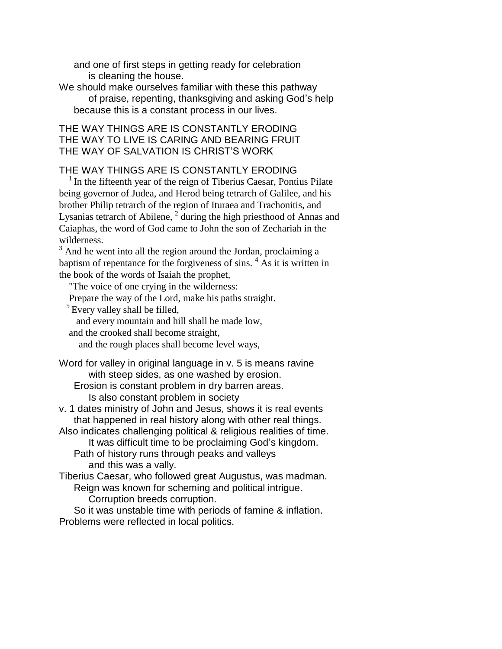and one of first steps in getting ready for celebration is cleaning the house.

We should make ourselves familiar with these this pathway of praise, repenting, thanksgiving and asking God's help because this is a constant process in our lives.

# THE WAY THINGS ARE IS CONSTANTLY ERODING THE WAY TO LIVE IS CARING AND BEARING FRUIT THE WAY OF SALVATION IS CHRIST'S WORK

## THE WAY THINGS ARE IS CONSTANTLY ERODING

 $1$ In the fifteenth year of the reign of Tiberius Caesar, Pontius Pilate being governor of Judea, and Herod being tetrarch of Galilee, and his brother Philip tetrarch of the region of Ituraea and Trachonitis, and Lysanias tetrarch of Abilene,  $2\overline{}$  during the high priesthood of Annas and Caiaphas, the word of God came to John the son of Zechariah in the wilderness.

<sup>3</sup> And he went into all the region around the Jordan, proclaiming a baptism of repentance for the forgiveness of sins.  $4$  As it is written in the book of the words of Isaiah the prophet,

"The voice of one crying in the wilderness:

Prepare the way of the Lord, make his paths straight.

 $<sup>5</sup>$  Every valley shall be filled,</sup>

and every mountain and hill shall be made low,

and the crooked shall become straight,

and the rough places shall become level ways,

Word for valley in original language in v. 5 is means ravine with steep sides, as one washed by erosion.

Erosion is constant problem in dry barren areas. Is also constant problem in society

v. 1 dates ministry of John and Jesus, shows it is real events that happened in real history along with other real things.

Also indicates challenging political & religious realities of time.

It was difficult time to be proclaiming God's kingdom. Path of history runs through peaks and valleys and this was a vally.

Tiberius Caesar, who followed great Augustus, was madman. Reign was known for scheming and political intrigue.

Corruption breeds corruption.

So it was unstable time with periods of famine & inflation. Problems were reflected in local politics.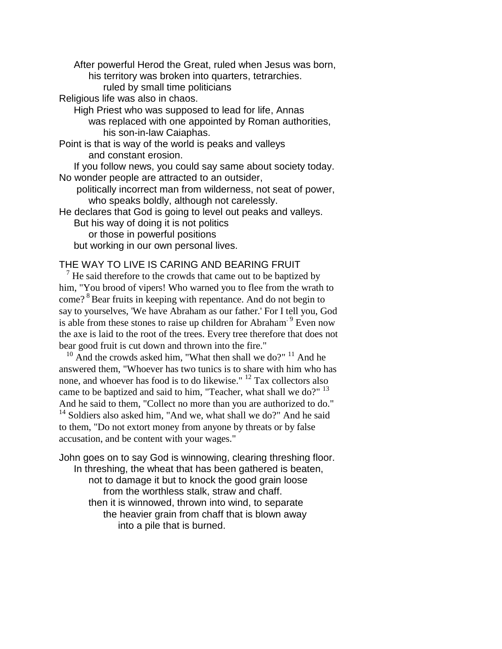After powerful Herod the Great, ruled when Jesus was born, his territory was broken into quarters, tetrarchies.

ruled by small time politicians

Religious life was also in chaos.

High Priest who was supposed to lead for life, Annas was replaced with one appointed by Roman authorities, his son-in-law Caiaphas.

Point is that is way of the world is peaks and valleys and constant erosion.

If you follow news, you could say same about society today. No wonder people are attracted to an outsider,

politically incorrect man from wilderness, not seat of power, who speaks boldly, although not carelessly.

He declares that God is going to level out peaks and valleys.

But his way of doing it is not politics

or those in powerful positions

but working in our own personal lives.

## THE WAY TO LIVE IS CARING AND BEARING FRUIT

 $<sup>7</sup>$  He said therefore to the crowds that came out to be baptized by</sup> him, "You brood of vipers! Who warned you to flee from the wrath to come?<sup>8</sup> Bear fruits in keeping with repentance. And do not begin to say to yourselves, 'We have Abraham as our father.' For I tell you, God is able from these stones to raise up children for Abraham<sup>. 9</sup> Even now the axe is laid to the root of the trees. Every tree therefore that does not bear good fruit is cut down and thrown into the fire."

 $10$  And the crowds asked him, "What then shall we do?"  $11$  And he answered them, "Whoever has two tunics is to share with him who has none, and whoever has food is to do likewise." <sup>12</sup> Tax collectors also came to be baptized and said to him, "Teacher, what shall we do?" <sup>13</sup> And he said to them, "Collect no more than you are authorized to do." <sup>14</sup> Soldiers also asked him, "And we, what shall we do?" And he said to them, "Do not extort money from anyone by threats or by false accusation, and be content with your wages."

John goes on to say God is winnowing, clearing threshing floor. In threshing, the wheat that has been gathered is beaten, not to damage it but to knock the good grain loose from the worthless stalk, straw and chaff. then it is winnowed, thrown into wind, to separate the heavier grain from chaff that is blown away into a pile that is burned.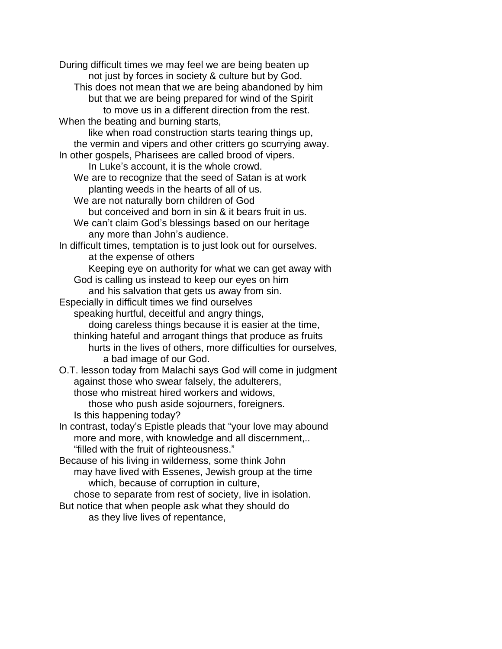During difficult times we may feel we are being beaten up not just by forces in society & culture but by God. This does not mean that we are being abandoned by him but that we are being prepared for wind of the Spirit to move us in a different direction from the rest. When the beating and burning starts, like when road construction starts tearing things up, the vermin and vipers and other critters go scurrying away. In other gospels, Pharisees are called brood of vipers. In Luke's account, it is the whole crowd. We are to recognize that the seed of Satan is at work planting weeds in the hearts of all of us. We are not naturally born children of God but conceived and born in sin & it bears fruit in us. We can't claim God's blessings based on our heritage any more than John's audience. In difficult times, temptation is to just look out for ourselves. at the expense of others Keeping eye on authority for what we can get away with God is calling us instead to keep our eyes on him and his salvation that gets us away from sin. Especially in difficult times we find ourselves speaking hurtful, deceitful and angry things, doing careless things because it is easier at the time, thinking hateful and arrogant things that produce as fruits hurts in the lives of others, more difficulties for ourselves, a bad image of our God. O.T. lesson today from Malachi says God will come in judgment against those who swear falsely, the adulterers, those who mistreat hired workers and widows, those who push aside sojourners, foreigners. Is this happening today? In contrast, today's Epistle pleads that "your love may abound more and more, with knowledge and all discernment,.. "filled with the fruit of righteousness." Because of his living in wilderness, some think John may have lived with Essenes, Jewish group at the time which, because of corruption in culture, chose to separate from rest of society, live in isolation. But notice that when people ask what they should do as they live lives of repentance,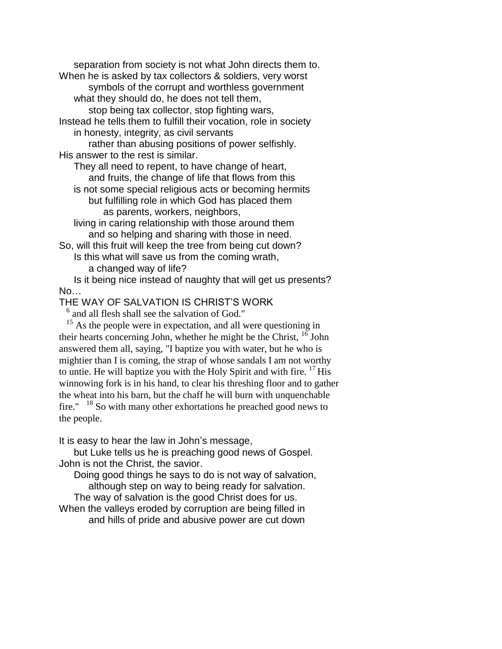separation from society is not what John directs them to. When he is asked by tax collectors & soldiers, very worst

symbols of the corrupt and worthless government what they should do, he does not tell them,

stop being tax collector, stop fighting wars,

Instead he tells them to fulfill their vocation, role in society in honesty, integrity, as civil servants

rather than abusing positions of power selfishly. His answer to the rest is similar.

They all need to repent, to have change of heart, and fruits, the change of life that flows from this

is not some special religious acts or becoming hermits but fulfilling role in which God has placed them

as parents, workers, neighbors,

living in caring relationship with those around them and so helping and sharing with those in need.

So, will this fruit will keep the tree from being cut down? Is this what will save us from the coming wrath,

a changed way of life?

Is it being nice instead of naughty that will get us presents? No…

THE WAY OF SALVATION IS CHRIST'S WORK

<sup>6</sup> and all flesh shall see the salvation of God."

 $15$  As the people were in expectation, and all were questioning in their hearts concerning John, whether he might be the Christ,  $16$  John answered them all, saying, "I baptize you with water, but he who is mightier than I is coming, the strap of whose sandals I am not worthy to untie. He will baptize you with the Holy Spirit and with fire.  $^{17}$  His winnowing fork is in his hand, to clear his threshing floor and to gather the wheat into his barn, but the chaff he will burn with unquenchable fire." <sup>18</sup> So with many other exhortations he preached good news to the people.

It is easy to hear the law in John's message,

but Luke tells us he is preaching good news of Gospel. John is not the Christ, the savior.

Doing good things he says to do is not way of salvation, although step on way to being ready for salvation.

The way of salvation is the good Christ does for us.

When the valleys eroded by corruption are being filled in and hills of pride and abusive power are cut down